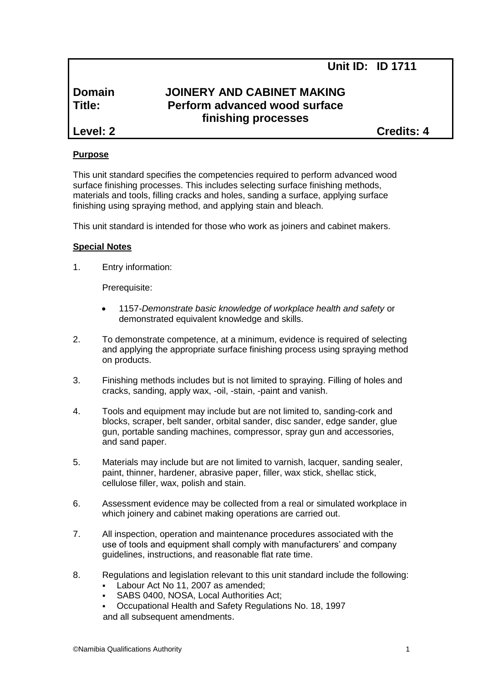**Unit ID: ID 1711**

## **Domain JOINERY AND CABINET MAKING Title: Perform advanced wood surface finishing processes**

**Level: 2 Credits: 4**

## **Purpose**

This unit standard specifies the competencies required to perform advanced wood surface finishing processes. This includes selecting surface finishing methods, materials and tools, filling cracks and holes, sanding a surface, applying surface finishing using spraying method, and applying stain and bleach.

This unit standard is intended for those who work as joiners and cabinet makers.

## **Special Notes**

1. Entry information:

Prerequisite:

- 1157*-Demonstrate basic knowledge of workplace health and safety* or demonstrated equivalent knowledge and skills.
- 2. To demonstrate competence, at a minimum, evidence is required of selecting and applying the appropriate surface finishing process using spraying method on products.
- 3. Finishing methods includes but is not limited to spraying. Filling of holes and cracks, sanding, apply wax, -oil, -stain, -paint and vanish.
- 4. Tools and equipment may include but are not limited to, sanding-cork and blocks, scraper, belt sander, orbital sander, disc sander, edge sander, glue gun, portable sanding machines, compressor, spray gun and accessories, and sand paper.
- 5. Materials may include but are not limited to varnish, lacquer, sanding sealer, paint, thinner, hardener, abrasive paper, filler, wax stick, shellac stick, cellulose filler, wax, polish and stain.
- 6. Assessment evidence may be collected from a real or simulated workplace in which joinery and cabinet making operations are carried out.
- 7. All inspection, operation and maintenance procedures associated with the use of tools and equipment shall comply with manufacturers' and company guidelines, instructions, and reasonable flat rate time.
- 8. Regulations and legislation relevant to this unit standard include the following:
	- Labour Act No 11, 2007 as amended;
	- SABS 0400, NOSA, Local Authorities Act;
	- Occupational Health and Safety Regulations No. 18, 1997 and all subsequent amendments.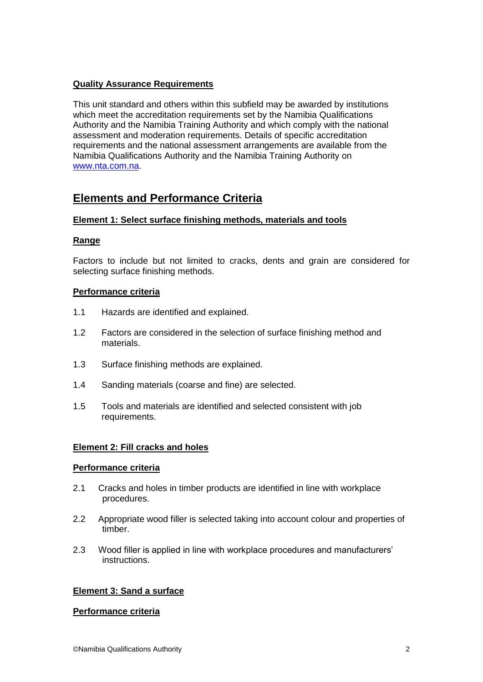## **Quality Assurance Requirements**

This unit standard and others within this subfield may be awarded by institutions which meet the accreditation requirements set by the Namibia Qualifications Authority and the Namibia Training Authority and which comply with the national assessment and moderation requirements. Details of specific accreditation requirements and the national assessment arrangements are available from the Namibia Qualifications Authority and the Namibia Training Authority on [www.nta.com.na.](http://www.nta.com.na/)

# **Elements and Performance Criteria**

## **Element 1: Select surface finishing methods, materials and tools**

## **Range**

Factors to include but not limited to cracks, dents and grain are considered for selecting surface finishing methods.

## **Performance criteria**

- 1.1 Hazards are identified and explained.
- 1.2 Factors are considered in the selection of surface finishing method and materials.
- 1.3 Surface finishing methods are explained.
- 1.4 Sanding materials (coarse and fine) are selected.
- 1.5 Tools and materials are identified and selected consistent with job requirements.

## **Element 2: Fill cracks and holes**

#### **Performance criteria**

- 2.1 Cracks and holes in timber products are identified in line with workplace procedures.
- 2.2 Appropriate wood filler is selected taking into account colour and properties of timber.
- 2.3 Wood filler is applied in line with workplace procedures and manufacturers' instructions.

## **Element 3: Sand a surface**

#### **Performance criteria**